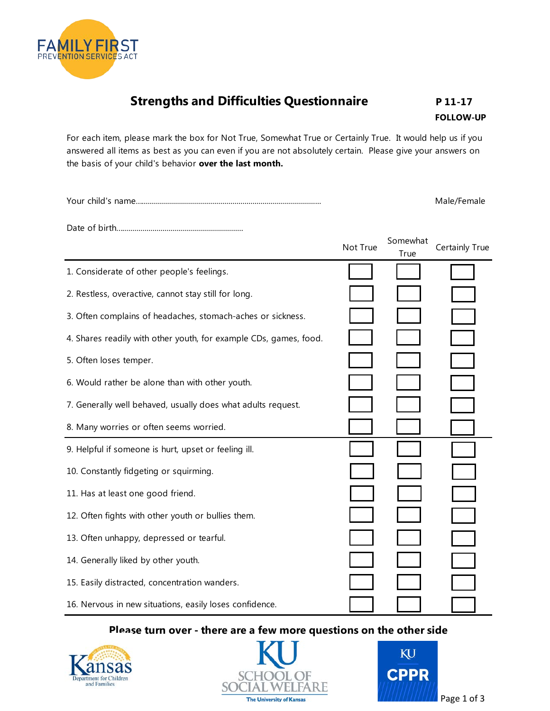

## **Strengths and Difficulties Questionnaire** P 11-17

**FOLLOW-UP** 

For each item, please mark the box for Not True, Somewhat True or Certainly True. It would help us if you answered all items as best as you can even if you are not absolutely certain. Please give your answers on the basis of your child's behavior **over the last month.** 

Your child's name…......................................................................................... Male/Female

Date of birth…............................................................

|                                                                   | Not True | Somewhat<br>True | Certainly True |
|-------------------------------------------------------------------|----------|------------------|----------------|
| 1. Considerate of other people's feelings.                        |          |                  |                |
| 2. Restless, overactive, cannot stay still for long.              |          |                  |                |
| 3. Often complains of headaches, stomach-aches or sickness.       |          |                  |                |
| 4. Shares readily with other youth, for example CDs, games, food. |          |                  |                |
| 5. Often loses temper.                                            |          |                  |                |
| 6. Would rather be alone than with other youth.                   |          |                  |                |
| 7. Generally well behaved, usually does what adults request.      |          |                  |                |
| 8. Many worries or often seems worried.                           |          |                  |                |
| 9. Helpful if someone is hurt, upset or feeling ill.              |          |                  |                |
| 10. Constantly fidgeting or squirming.                            |          |                  |                |
| 11. Has at least one good friend.                                 |          |                  |                |
| 12. Often fights with other youth or bullies them.                |          |                  |                |
| 13. Often unhappy, depressed or tearful.                          |          |                  |                |
| 14. Generally liked by other youth.                               |          |                  |                |
| 15. Easily distracted, concentration wanders.                     |          |                  |                |
| 16. Nervous in new situations, easily loses confidence.           |          |                  |                |

## **Please turn over - there are a few more questions on the other side**





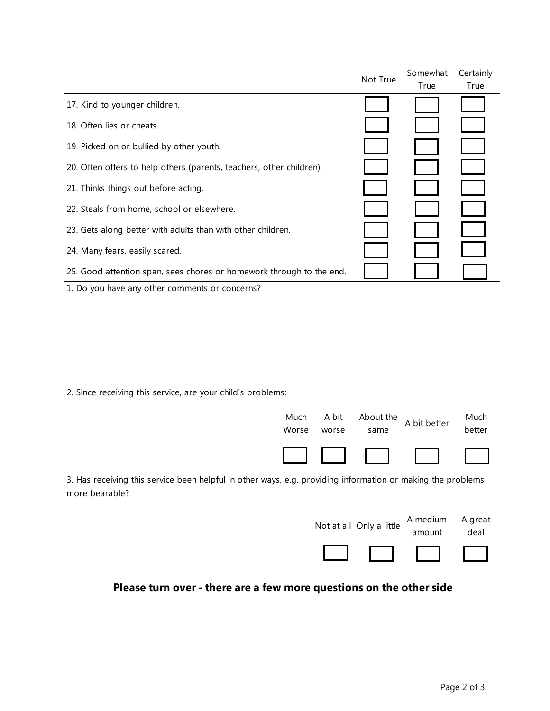|                                                                      | Not True | Somewhat | Certainly |
|----------------------------------------------------------------------|----------|----------|-----------|
|                                                                      |          | True     | True      |
| 17. Kind to younger children.                                        |          |          |           |
| 18. Often lies or cheats.                                            |          |          |           |
| 19. Picked on or bullied by other youth.                             |          |          |           |
| 20. Often offers to help others (parents, teachers, other children). |          |          |           |
| 21. Thinks things out before acting.                                 |          |          |           |
| 22. Steals from home, school or elsewhere.                           |          |          |           |
| 23. Gets along better with adults than with other children.          |          |          |           |
| 24. Many fears, easily scared.                                       |          |          |           |
| 25. Good attention span, sees chores or homework through to the end. |          |          |           |
| 1. Do you have any other comments or concerns?                       |          |          |           |

2. Since receiving this service, are your child's problems:



3. Has receiving this service been helpful in other ways, e.g. providing information or making the problems more bearable?

| Not at all Only a little | A medium<br>amount | A great<br>deal |
|--------------------------|--------------------|-----------------|
|                          |                    |                 |

## **Please turn over - there are a few more questions on the other side**